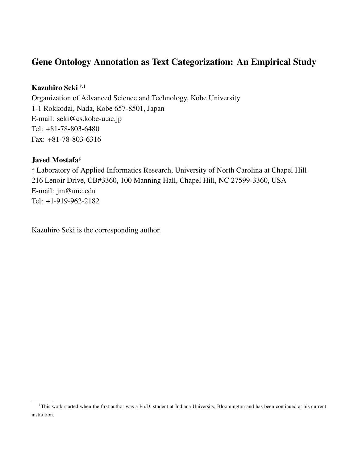# Gene Ontology Annotation as Text Categorization: An Empirical Study

## Kazuhiro Seki †,<sup>1</sup>

Organization of Advanced Science and Technology, Kobe University 1-1 Rokkodai, Nada, Kobe 657-8501, Japan E-mail: seki@cs.kobe-u.ac.jp Tel: +81-78-803-6480 Fax: +81-78-803-6316

## Javed Mostafa‡

‡ Laboratory of Applied Informatics Research, University of North Carolina at Chapel Hill 216 Lenoir Drive, CB#3360, 100 Manning Hall, Chapel Hill, NC 27599-3360, USA E-mail: jm@unc.edu Tel: +1-919-962-2182

Kazuhiro Seki is the corresponding author.

<sup>&</sup>lt;sup>1</sup>This work started when the first author was a Ph.D. student at Indiana University, Bloomington and has been continued at his current institution.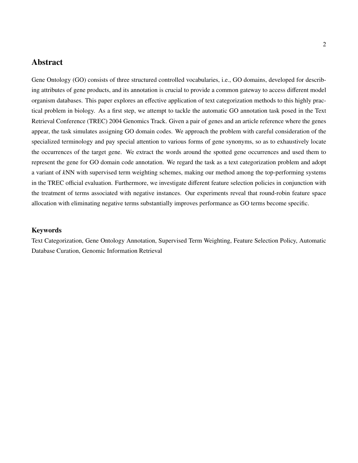## Abstract

Gene Ontology (GO) consists of three structured controlled vocabularies, i.e., GO domains, developed for describing attributes of gene products, and its annotation is crucial to provide a common gateway to access different model organism databases. This paper explores an effective application of text categorization methods to this highly practical problem in biology. As a first step, we attempt to tackle the automatic GO annotation task posed in the Text Retrieval Conference (TREC) 2004 Genomics Track. Given a pair of genes and an article reference where the genes appear, the task simulates assigning GO domain codes. We approach the problem with careful consideration of the specialized terminology and pay special attention to various forms of gene synonyms, so as to exhaustively locate the occurrences of the target gene. We extract the words around the spotted gene occurrences and used them to represent the gene for GO domain code annotation. We regard the task as a text categorization problem and adopt a variant of *k*NN with supervised term weighting schemes, making our method among the top-performing systems in the TREC official evaluation. Furthermore, we investigate different feature selection policies in conjunction with the treatment of terms associated with negative instances. Our experiments reveal that round-robin feature space allocation with eliminating negative terms substantially improves performance as GO terms become specific.

### Keywords

Text Categorization, Gene Ontology Annotation, Supervised Term Weighting, Feature Selection Policy, Automatic Database Curation, Genomic Information Retrieval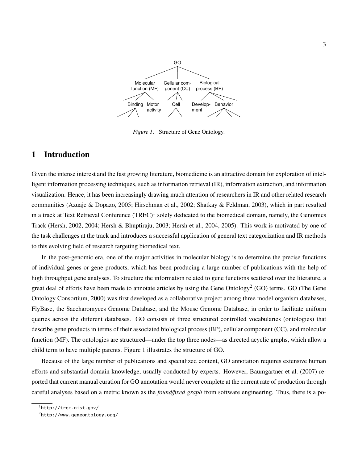

*Figure 1*. Structure of Gene Ontology.

## 1 Introduction

Given the intense interest and the fast growing literature, biomedicine is an attractive domain for exploration of intelligent information processing techniques, such as information retrieval (IR), information extraction, and information visualization. Hence, it has been increasingly drawing much attention of researchers in IR and other related research communities (Azuaje & Dopazo, 2005; Hirschman et al., 2002; Shatkay & Feldman, 2003), which in part resulted in a track at Text Retrieval Conference (TREC)<sup>1</sup> solely dedicated to the biomedical domain, namely, the Genomics Track (Hersh, 2002, 2004; Hersh & Bhuptiraju, 2003; Hersh et al., 2004, 2005). This work is motivated by one of the task challenges at the track and introduces a successful application of general text categorization and IR methods to this evolving field of research targeting biomedical text.

In the post-genomic era, one of the major activities in molecular biology is to determine the precise functions of individual genes or gene products, which has been producing a large number of publications with the help of high throughput gene analyses. To structure the information related to gene functions scattered over the literature, a great deal of efforts have been made to annotate articles by using the Gene Ontology<sup>2</sup> (GO) terms. GO (The Gene Ontology Consortium, 2000) was first developed as a collaborative project among three model organism databases, FlyBase, the Saccharomyces Genome Database, and the Mouse Genome Database, in order to facilitate uniform queries across the different databases. GO consists of three structured controlled vocabularies (ontologies) that describe gene products in terms of their associated biological process (BP), cellular component (CC), and molecular function (MF). The ontologies are structured—under the top three nodes—as directed acyclic graphs, which allow a child term to have multiple parents. Figure 1 illustrates the structure of GO.

Because of the large number of publications and specialized content, GO annotation requires extensive human efforts and substantial domain knowledge, usually conducted by experts. However, Baumgartner et al. (2007) reported that current manual curation for GO annotation would never complete at the current rate of production through careful analyses based on a metric known as the *found*/*fixed graph* from software engineering. Thus, there is a po-

<sup>1</sup>http://trec.nist.gov/

<sup>2</sup>http://www.geneontology.org/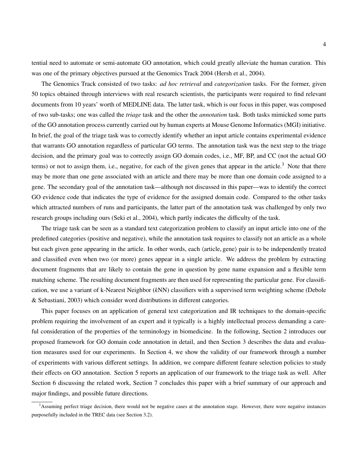tential need to automate or semi-automate GO annotation, which could greatly alleviate the human curation. This was one of the primary objectives pursued at the Genomics Track 2004 (Hersh et al., 2004).

The Genomics Track consisted of two tasks: *ad hoc retrieval* and *categorization* tasks. For the former, given 50 topics obtained through interviews with real research scientists, the participants were required to find relevant documents from 10 years' worth of MEDLINE data. The latter task, which is our focus in this paper, was composed of two sub-tasks; one was called the *triage* task and the other the *annotation* task. Both tasks mimicked some parts of the GO annotation process currently carried out by human experts at Mouse Genome Informatics (MGI) initiative. In brief, the goal of the triage task was to correctly identify whether an input article contains experimental evidence that warrants GO annotation regardless of particular GO terms. The annotation task was the next step to the triage decision, and the primary goal was to correctly assign GO domain codes, i.e., MF, BP, and CC (not the actual GO terms) or not to assign them, i.e., negative, for each of the given genes that appear in the article.<sup>3</sup> Note that there may be more than one gene associated with an article and there may be more than one domain code assigned to a gene. The secondary goal of the annotation task—although not discussed in this paper—was to identify the correct GO evidence code that indicates the type of evidence for the assigned domain code. Compared to the other tasks which attracted numbers of runs and participants, the latter part of the annotation task was challenged by only two research groups including ours (Seki et al., 2004), which partly indicates the difficulty of the task.

The triage task can be seen as a standard text categorization problem to classify an input article into one of the predefined categories (positive and negative), while the annotation task requires to classify not an article as a whole but each given gene appearing in the article. In other words, each (article, gene) pair is to be independently treated and classified even when two (or more) genes appear in a single article. We address the problem by extracting document fragments that are likely to contain the gene in question by gene name expansion and a flexible term matching scheme. The resulting document fragments are then used for representing the particular gene. For classification, we use a variant of k-Nearest Neighbor (*k*NN) classifiers with a supervised term weighting scheme (Debole & Sebastiani, 2003) which consider word distributions in different categories.

This paper focuses on an application of general text categorization and IR techniques to the domain-specific problem requiring the involvement of an expert and it typically is a highly intellectual process demanding a careful consideration of the properties of the terminology in biomedicine. In the following, Section 2 introduces our proposed framework for GO domain code annotation in detail, and then Section 3 describes the data and evaluation measures used for our experiments. In Section 4, we show the validity of our framework through a number of experiments with various different settings. In addition, we compare different feature selection policies to study their effects on GO annotation. Section 5 reports an application of our framework to the triage task as well. After Section 6 discussing the related work, Section 7 concludes this paper with a brief summary of our approach and major findings, and possible future directions.

<sup>&</sup>lt;sup>3</sup>Assuming perfect triage decision, there would not be negative cases at the annotation stage. However, there were negative instances purposefully included in the TREC data (see Section 3.2).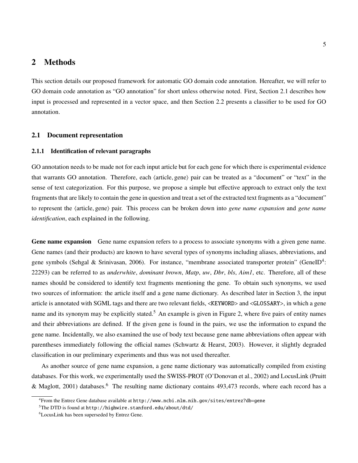## 2 Methods

This section details our proposed framework for automatic GO domain code annotation. Hereafter, we will refer to GO domain code annotation as "GO annotation" for short unless otherwise noted. First, Section 2.1 describes how input is processed and represented in a vector space, and then Section 2.2 presents a classifier to be used for GO annotation.

### 2.1 Document representation

#### 2.1.1 Identification of relevant paragraphs

GO annotation needs to be made not for each input article but for each gene for which there is experimental evidence that warrants GO annotation. Therefore, each (article, gene) pair can be treated as a "document" or "text" in the sense of text categorization. For this purpose, we propose a simple but effective approach to extract only the text fragments that are likely to contain the gene in question and treat a set of the extracted text fragments as a "document" to represent the *(article, gene)* pair. This process can be broken down into *gene name expansion* and *gene name identification*, each explained in the following.

Gene name expansion Gene name expansion refers to a process to associate synonyms with a given gene name. Gene names (and their products) are known to have several types of synonyms including aliases, abbreviations, and gene symbols (Sehgal & Srinivasan, 2006). For instance, "membrane associated transporter protein" (GeneID<sup>4</sup>: 22293) can be referred to as *underwhite*, *dominant brown*, *Matp*, *uw*, *Dbr*, *bls*, *Aim1*, etc. Therefore, all of these names should be considered to identify text fragments mentioning the gene. To obtain such synonyms, we used two sources of information: the article itself and a gene name dictionary. As described later in Section 3, the input article is annotated with SGML tags and there are two relevant fields, <KEYWORD> and <GLOSSARY>, in which a gene name and its synonym may be explicitly stated.<sup>5</sup> An example is given in Figure 2, where five pairs of entity names and their abbreviations are defined. If the given gene is found in the pairs, we use the information to expand the gene name. Incidentally, we also examined the use of body text because gene name abbreviations often appear with parentheses immediately following the official names (Schwartz & Hearst, 2003). However, it slightly degraded classification in our preliminary experiments and thus was not used thereafter.

As another source of gene name expansion, a gene name dictionary was automatically compiled from existing databases. For this work, we experimentally used the SWISS-PROT (O'Donovan et al., 2002) and LocusLink (Pruitt & Maglott, 2001) databases.<sup>6</sup> The resulting name dictionary contains 493,473 records, where each record has a

<sup>4</sup>From the Entrez Gene database available at http://www.ncbi.nlm.nih.gov/sites/entrez?db=gene

 $5$ The DTD is found at http://highwire.stanford.edu/about/dtd/

<sup>6</sup>LocusLink has been superseded by Entrez Gene.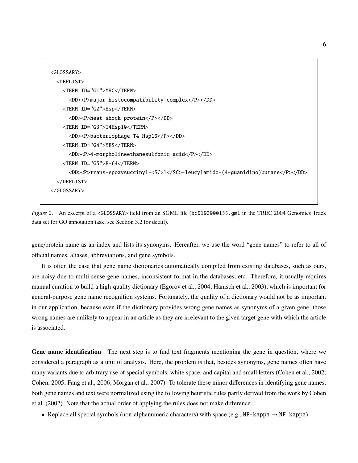```
<GLOSSARY>
 <DEFLIST>
    <TERM ID="G1">MHC</TERM>
      <DD><P>major histocompatibility complex</P></DD>
   <TERM ID="G2">Hsp</TERM>
      <DD><P>heat shock protein</P></DD>
   <TERM ID="G3">T4Hsp10</TERM>
      <DD><P>bacteriophage T4 Hsp10</P></DD>
   <TERM ID="G4">MES</TERM>
      <DD><P>4-morpholineethanesulfonic acid</P></DD>
   <TERM ID="G5">E-64</TERM>
      <DD><P>trans-epoxysuccinyl-<SC>l</SC>-leucylamido-(4-guanidino)butane</P></DD>
 </DEFLIST>
</GLOSSARY>
```
*Figure 2.* An excerpt of a <GLOSSARY> field from an SGML file (bc0102000155.gml in the TREC 2004 Genomics Track data set for GO annotation task; see Section 3.2 for detail).

gene/protein name as an index and lists its synonyms. Hereafter, we use the word "gene names" to refer to all of official names, aliases, abbreviations, and gene symbols.

It is often the case that gene name dictionaries automatically compiled from existing databases, such as ours, are noisy due to multi-sense gene names, inconsistent format in the databases, etc. Therefore, it usually requires manual curation to build a high-quality dictionary (Egorov et al., 2004; Hanisch et al., 2003), which is important for general-purpose gene name recognition systems. Fortunately, the quality of a dictionary would not be as important in our application, because even if the dictionary provides wrong gene names as synonyms of a given gene, those wrong names are unlikely to appear in an article as they are irrelevant to the given target gene with which the article is associated.

Gene name identification The next step is to find text fragments mentioning the gene in question, where we considered a paragraph as a unit of analysis. Here, the problem is that, besides synonyms, gene names often have many variants due to arbitrary use of special symbols, white space, and capital and small letters (Cohen et al., 2002; Cohen, 2005; Fang et al., 2006; Morgan et al., 2007). To tolerate these minor differences in identifying gene names, both gene names and text were normalized using the following heuristic rules partly derived from the work by Cohen et al. (2002). Note that the actual order of applying the rules does not make difference.

• Replace all special symbols (non-alphanumeric characters) with space (e.g.,  $NF$ -kappa  $\rightarrow NF$  kappa)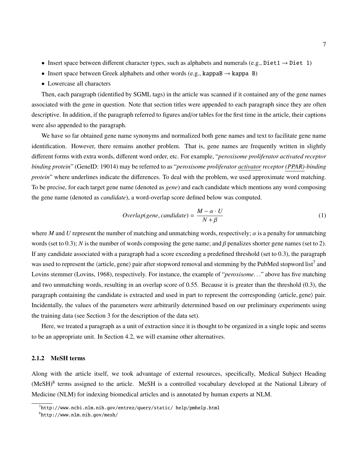- Insert space between different character types, such as alphabets and numerals (e.g., Diet1  $\rightarrow$  Diet 1)
- Insert space between Greek alphabets and other words (e.g., kappaB  $\rightarrow$  kappa B)
- Lowercase all characters

Then, each paragraph (identified by SGML tags) in the article was scanned if it contained any of the gene names associated with the gene in question. Note that section titles were appended to each paragraph since they are often descriptive. In addition, if the paragraph referred to figures and/or tables for the first time in the article, their captions were also appended to the paragraph.

We have so far obtained gene name synonyms and normalized both gene names and text to facilitate gene name identification. However, there remains another problem. That is, gene names are frequently written in slightly different forms with extra words, different word order, etc. For example, "*peroxisome proliferator activated receptor binding protein*" (GeneID: 19014) may be referred to as "*peroxisome proliferator activator receptor (PPAR)-binding protein*" where underlines indicate the differences. To deal with the problem, we used approximate word matching. To be precise, for each target gene name (denoted as *gene*) and each candidate which mentions any word composing the gene name (denoted as *candidate*), a word-overlap score defined below was computed.

$$
Overallap(gene, candidate) = \frac{M - \alpha \cdot U}{N + \beta}
$$
 (1)

where *M* and *U* represent the number of matching and unmatching words, respectively;  $\alpha$  is a penalty for unmatching words (set to 0.3); *N* is the number of words composing the gene name; and  $\beta$  penalizes shorter gene names (set to 2). If any candidate associated with a paragraph had a score exceeding a predefined threshold (set to 0.3), the paragraph was used to represent the  $\langle$ article, gene $\rangle$  pair after stopword removal and stemming by the PubMed stopword list<sup>7</sup> and Lovins stemmer (Lovins, 1968), respectively. For instance, the example of "*peroxisome*. . ." above has five matching and two unmatching words, resulting in an overlap score of 0.55. Because it is greater than the threshold (0.3), the paragraph containing the candidate is extracted and used in part to represent the corresponding  $\langle$  article, gene $\rangle$  pair. Incidentally, the values of the parameters were arbitrarily determined based on our preliminary experiments using the training data (see Section 3 for the description of the data set).

Here, we treated a paragraph as a unit of extraction since it is thought to be organized in a single topic and seems to be an appropriate unit. In Section 4.2, we will examine other alternatives.

#### 2.1.2 MeSH terms

Along with the article itself, we took advantage of external resources, specifically, Medical Subject Heading (MeSH)<sup>8</sup> terms assigned to the article. MeSH is a controlled vocabulary developed at the National Library of Medicine (NLM) for indexing biomedical articles and is annotated by human experts at NLM.

 $^{7}$ http://www.ncbi.nlm.nih.gov/entrez/query/static/ help/pmhelp.html

<sup>8</sup>http://www.nlm.nih.gov/mesh/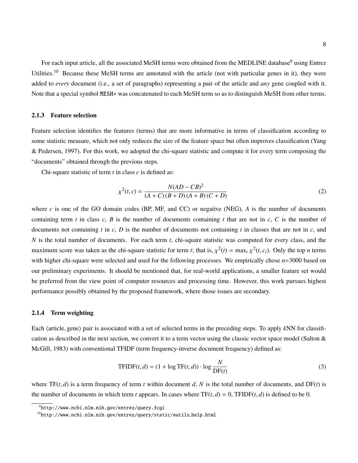For each input article, all the associated MeSH terms were obtained from the MEDLINE database<sup>9</sup> using Entrez Utilities.<sup>10</sup> Because these MeSH terms are annotated with the article (not with particular genes in it), they were added to *every* document (i.e., a set of paragraphs) representing a pair of the article and *any* gene coupled with it. Note that a special symbol MESH+ was concatenated to each MeSH term so as to distinguish MeSH from other terms.

### 2.1.3 Feature selection

Feature selection identifies the features (terms) that are more informative in terms of classification according to some statistic measure, which not only reduces the size of the feature space but often improves classification (Yang & Pedersen, 1997). For this work, we adopted the chi-square statistic and compute it for every term composing the "documents" obtained through the previous steps.

Chi-square statistic of term *t* in class *c* is defined as:

$$
\chi^{2}(t,c) = \frac{N(AD - CB)^{2}}{(A+C)(B+D)(A+B)(C+D)}
$$
\n(2)

where *c* is one of the GO domain codes (BP, MF, and CC) or negative (NEG), *A* is the number of documents containing term *t* in class *c*, *B* is the number of documents containing *t* that are not in *c*, *C* is the number of documents not containing *t* in *c*, *D* is the number of documents not containing *t* in classes that are not in *c*, and *N* is the total number of documents. For each term *t*, chi-square statistic was computed for every class, and the maximum score was taken as the chi-square statistic for term *t*; that is,  $\chi^2(t) = \max_i \chi^2(t, c_i)$ . Only the top *n* terms with higher chi-square were selected and used for the following processes. We empirically chose  $n=3000$  based on our preliminary experiments. It should be mentioned that, for real-world applications, a smaller feature set would be preferred from the view point of computer resources and processing time. However, this work pursues highest performance possibly obtained by the proposed framework, where those issues are secondary.

#### 2.1.4 Term weighting

Each (article, gene) pair is associated with a set of selected terms in the preceding steps. To apply *kNN* for classification as described in the next section, we convert it to a term vector using the classic vector space model (Salton & McGill, 1983) with conventional TFIDF (term frequency-inverse document frequency) defined as:

$$
\text{TFIDF}(t, d) = (1 + \log \text{TF}(t, d)) \cdot \log \frac{N}{\text{DF}(t)}
$$
\n(3)

where  $TF(t, d)$  is a term frequency of term *t* within document *d*, *N* is the total number of documents, and  $DF(t)$  is the number of documents in which term *t* appears. In cases where  $TF(t, d) = 0$ ,  $TFIDF(t, d)$  is defined to be 0.

<sup>9</sup>http://www.ncbi.nlm.nih.gov/entrez/query.fcgi

<sup>10</sup>http://www.ncbi.nlm.nih.gov/entrez/query/static/eutils help.html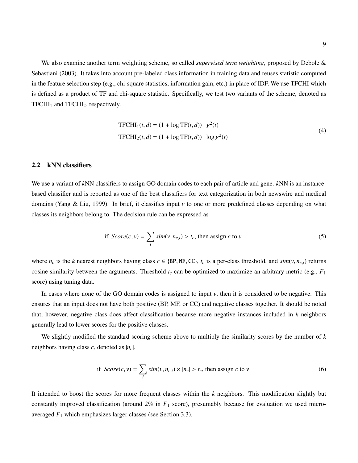We also examine another term weighting scheme, so called *supervised term weighting*, proposed by Debole & Sebastiani (2003). It takes into account pre-labeled class information in training data and reuses statistic computed in the feature selection step (e.g., chi-square statistics, information gain, etc.) in place of IDF. We use TFCHI which is defined as a product of TF and chi-square statistic. Specifically, we test two variants of the scheme, denoted as  $TFCHI<sub>1</sub>$  and  $TFCHI<sub>2</sub>$ , respectively.

$$
\text{TFCHI}_1(t, d) = (1 + \log \text{TF}(t, d)) \cdot \chi^2(t)
$$
\n
$$
\text{TFCHI}_2(t, d) = (1 + \log \text{TF}(t, d)) \cdot \log \chi^2(t)
$$
\n
$$
(4)
$$

### 2.2 kNN classifiers

We use a variant of *k*NN classifiers to assign GO domain codes to each pair of article and gene. *k*NN is an instancebased classifier and is reported as one of the best classifiers for text categorization in both newswire and medical domains (Yang & Liu, 1999). In brief, it classifies input *v* to one or more predefined classes depending on what classes its neighbors belong to. The decision rule can be expressed as

if 
$$
Score(c, v) = \sum_{i} sim(v, n_{c,i}) > t_c
$$
, then assign *c* to *v* (5)

where  $n_c$  is the *k* nearest neighbors having class  $c \in \{BP, MF, CC\}$ ,  $t_c$  is a per-class threshold, and  $sim(v, n_{c,i})$  returns cosine similarity between the arguments. Threshold *t<sup>c</sup>* can be optimized to maximize an arbitrary metric (e.g., *F*<sup>1</sup> score) using tuning data.

In cases where none of the GO domain codes is assigned to input *v*, then it is considered to be negative. This ensures that an input does not have both positive (BP, MF, or CC) and negative classes together. It should be noted that, however, negative class does affect classification because more negative instances included in *k* neighbors generally lead to lower scores for the positive classes.

We slightly modified the standard scoring scheme above to multiply the similarity scores by the number of *k* neighbors having class *c*, denoted as |*nc*|.

if 
$$
Score(c, v) = \sum_{i} sim(v, n_{c,i}) \times |n_c| > t_c
$$
, then assign *c* to *v* (6)

It intended to boost the scores for more frequent classes within the *k* neighbors. This modification slightly but constantly improved classification (around 2% in *F*<sup>1</sup> score), presumably because for evaluation we used microaveraged *F*<sup>1</sup> which emphasizes larger classes (see Section 3.3).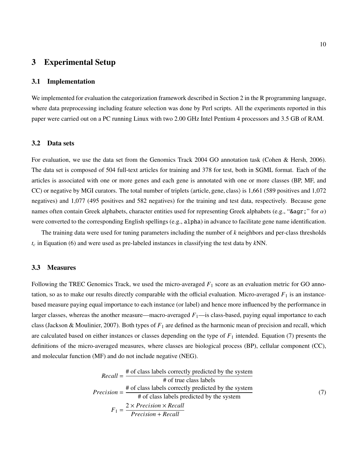## 3 Experimental Setup

### 3.1 Implementation

We implemented for evaluation the categorization framework described in Section 2 in the R programming language, where data preprocessing including feature selection was done by Perl scripts. All the experiments reported in this paper were carried out on a PC running Linux with two 2.00 GHz Intel Pentium 4 processors and 3.5 GB of RAM.

#### 3.2 Data sets

For evaluation, we use the data set from the Genomics Track 2004 GO annotation task (Cohen & Hersh, 2006). The data set is composed of 504 full-text articles for training and 378 for test, both in SGML format. Each of the articles is associated with one or more genes and each gene is annotated with one or more classes (BP, MF, and CC) or negative by MGI curators. The total number of triplets  $\langle$  article, gene, class $\rangle$  is 1,661 (589 positives and 1,072 negatives) and 1,077 (495 positives and 582 negatives) for the training and test data, respectively. Because gene names often contain Greek alphabets, character entities used for representing Greek alphabets (e.g., "&agr;" for  $\alpha$ ) were converted to the corresponding English spellings (e.g., alpha) in advance to facilitate gene name identification.

The training data were used for tuning parameters including the number of *k* neighbors and per-class thresholds *t<sup>c</sup>* in Equation (6) and were used as pre-labeled instances in classifying the test data by *k*NN.

### 3.3 Measures

Following the TREC Genomics Track, we used the micro-averaged  $F_1$  score as an evaluation metric for GO annotation, so as to make our results directly comparable with the official evaluation. Micro-averaged  $F_1$  is an instancebased measure paying equal importance to each instance (or label) and hence more influenced by the performance in larger classes, whereas the another measure—macro-averaged  $F_1$ —is class-based, paying equal importance to each class (Jackson & Moulinier, 2007). Both types of  $F_1$  are defined as the harmonic mean of precision and recall, which are calculated based on either instances or classes depending on the type of  $F_1$  intended. Equation (7) presents the definitions of the micro-averaged measures, where classes are biological process (BP), cellular component (CC), and molecular function (MF) and do not include negative (NEG).

$$
Recall = \frac{\# \text{ of class labels correctly predicted by the system}}{\# \text{ of true class labels}}
$$
\n
$$
Precision = \frac{\# \text{ of class labels correctly predicted by the system}}{\# \text{ of class labels predicted by the system}}
$$
\n
$$
F_1 = \frac{2 \times Precision \times Recall}{Precision + Recall}
$$
\n(7)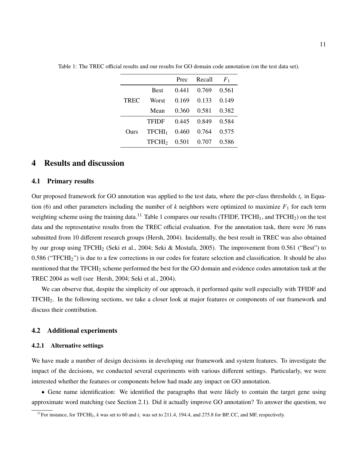|             |                    | Prec  | Recall | F <sub>1</sub> |
|-------------|--------------------|-------|--------|----------------|
|             | <b>Best</b>        | 0.441 | 0.769  | 0.561          |
| <b>TREC</b> | Worst              | 0.169 | 0.133  | 0.149          |
|             | Mean               | 0.360 | 0.581  | 0.382          |
| Ours        | TFIDF              | 0.445 | 0.849  | 0.584          |
|             | TFCHI <sub>1</sub> | 0.460 | 0.764  | 0.575          |
|             | TFCHI <sub>2</sub> | 0.501 | 0.707  | 0.586          |

Table 1: The TREC official results and our results for GO domain code annotation (on the test data set).

## 4 Results and discussion

#### 4.1 Primary results

Our proposed framework for GO annotation was applied to the test data, where the per-class thresholds  $t_c$  in Equation (6) and other parameters including the number of  $k$  neighbors were optimized to maximize  $F_1$  for each term weighting scheme using the training data.<sup>11</sup> Table 1 compares our results (TFIDF, TFCHI<sub>1</sub>, and TFCHI<sub>2</sub>) on the test data and the representative results from the TREC official evaluation. For the annotation task, there were 36 runs submitted from 10 different research groups (Hersh, 2004). Incidentally, the best result in TREC was also obtained by our group using TFCHI<sup>2</sup> (Seki et al., 2004; Seki & Mostafa, 2005). The improvement from 0.561 ("Best") to 0.586 ("TFCHI2") is due to a few corrections in our codes for feature selection and classification. It should be also mentioned that the TFCHI<sub>2</sub> scheme performed the best for the GO domain and evidence codes annotation task at the TREC 2004 as well (see Hersh, 2004; Seki et al., 2004).

We can observe that, despite the simplicity of our approach, it performed quite well especially with TFIDF and TFCHI2. In the following sections, we take a closer look at major features or components of our framework and discuss their contribution.

#### 4.2 Additional experiments

#### 4.2.1 Alternative settings

We have made a number of design decisions in developing our framework and system features. To investigate the impact of the decisions, we conducted several experiments with various different settings. Particularly, we were interested whether the features or components below had made any impact on GO annotation.

• Gene name identification: We identified the paragraphs that were likely to contain the target gene using approximate word matching (see Section 2.1). Did it actually improve GO annotation? To answer the question, we

<sup>&</sup>lt;sup>11</sup>For instance, for TFCHI<sub>2</sub>, *k* was set to 60 and  $t_c$  was set to 211.4, 194.4, and 275.8 for BP, CC, and MF, respectively.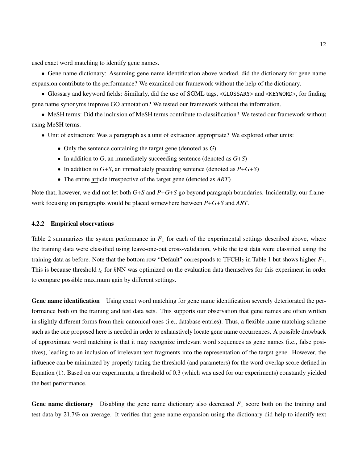used exact word matching to identify gene names.

• Gene name dictionary: Assuming gene name identification above worked, did the dictionary for gene name expansion contribute to the performance? We examined our framework without the help of the dictionary.

• Glossary and keyword fields: Similarly, did the use of SGML tags, <GLOSSARY> and <KEYWORD>, for finding gene name synonyms improve GO annotation? We tested our framework without the information.

• MeSH terms: Did the inclusion of MeSH terms contribute to classification? We tested our framework without using MeSH terms.

- Unit of extraction: Was a paragraph as a unit of extraction appropriate? We explored other units:
	- Only the sentence containing the target gene (denoted as *G*)
	- In addition to *G*, an immediately succeeding sentence (denoted as *G*+*S*)
	- In addition to *G*+*S*, an immediately preceding sentence (denoted as *P*+*G*+*S*)
	- The entire article irrespective of the target gene (denoted as *ART*)

Note that, however, we did not let both *G*+*S* and *P*+*G*+*S* go beyond paragraph boundaries. Incidentally, our framework focusing on paragraphs would be placed somewhere between *P*+*G*+*S* and *ART*.

#### 4.2.2 Empirical observations

Table 2 summarizes the system performance in  $F_1$  for each of the experimental settings described above, where the training data were classified using leave-one-out cross-validation, while the test data were classified using the training data as before. Note that the bottom row "Default" corresponds to TFCHI<sup>2</sup> in Table 1 but shows higher *F*1. This is because threshold *t<sup>c</sup>* for *k*NN was optimized on the evaluation data themselves for this experiment in order to compare possible maximum gain by different settings.

Gene name identification Using exact word matching for gene name identification severely deteriorated the performance both on the training and test data sets. This supports our observation that gene names are often written in slightly different forms from their canonical ones (i.e., database entries). Thus, a flexible name matching scheme such as the one proposed here is needed in order to exhaustively locate gene name occurrences. A possible drawback of approximate word matching is that it may recognize irrelevant word sequences as gene names (i.e., false positives), leading to an inclusion of irrelevant text fragments into the representation of the target gene. However, the influence can be minimized by properly tuning the threshold (and parameters) for the word-overlap score defined in Equation (1). Based on our experiments, a threshold of 0.3 (which was used for our experiments) constantly yielded the best performance.

Gene name dictionary Disabling the gene name dictionary also decreased  $F_1$  score both on the training and test data by 21.7% on average. It verifies that gene name expansion using the dictionary did help to identify text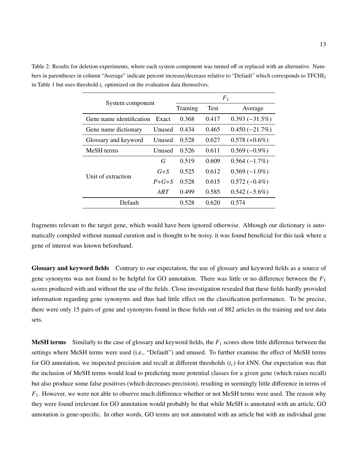Table 2: Results for deletion experiments, where each system component was turned off or replaced with an alternative. Numbers in parentheses in column "Average" indicate percent increase/decrease relative to "Default" which corresponds to TFCHI<sup>2</sup> in Table 1 but uses threshold *t<sup>c</sup>* optimized on the evaluation data themselves.

| System component         |               | F <sub>1</sub> |             |                  |
|--------------------------|---------------|----------------|-------------|------------------|
|                          |               | Training       | <b>Test</b> | Average          |
| Gene name identification | Exact         | 0.368          | 0.417       | $0.393(-31.5\%)$ |
| Gene name dictionary     | Unused        | 0.434          | 0.465       | $0.450(-21.7%)$  |
| Glossary and keyword     | Unused        | 0.528          | 0.627       | $0.578 (+0.6\%)$ |
| MeSH terms               | <b>Unused</b> | 0.526          | 0.611       | $0.569(-0.9\%)$  |
|                          | G             | 0.519          | 0.609       | $0.564(-1.7%)$   |
| Unit of extraction       | $G + S$       | 0.525          | 0.612       | $0.569(-1.0\%)$  |
|                          | $P + G + S$   | 0.528          | 0.615       | $0.572(-0.4\%)$  |
|                          | ART           | 0.499          | 0.585       | $0.542(-5.6\%)$  |
| Default                  |               | 0.528          | 0.620       | 0.574            |

fragments relevant to the target gene, which would have been ignored otherwise. Although our dictionary is automatically compiled without manual curation and is thought to be noisy, it was found beneficial for this task where a gene of interest was known beforehand.

Glossary and keyword fields Contrary to our expectation, the use of glossary and keyword fields as a source of gene synonyms was not found to be helpful for GO annotation. There was little or no difference between the *F*<sup>1</sup> scores produced with and without the use of the fields. Close investigation revealed that these fields hardly provided information regarding gene synonyms and thus had little effect on the classification performance. To be precise, there were only 15 pairs of gene and synonyms found in these fields out of 882 articles in the training and test data sets.

MeSH terms Similarly to the case of glossary and keyword fields, the *F*<sup>1</sup> scores show little difference between the settings where MeSH terms were used (i.e., "Default") and unused. To further examine the effect of MeSH terms for GO annotation, we inspected precision and recall at different thresholds (*tc*) for *k*NN. Our expectation was that the inclusion of MeSH terms would lead to predicting more potential classes for a given gene (which raises recall) but also produce some false positives (which decreases precision), resulting in seemingly little difference in terms of *F*1. However, we were not able to observe much difference whether or not MeSH terms were used. The reason why they were found irrelevant for GO annotation would probably be that while MeSH is annotated with an article, GO annotation is gene-specific. In other words, GO terms are not annotated with an article but with an individual gene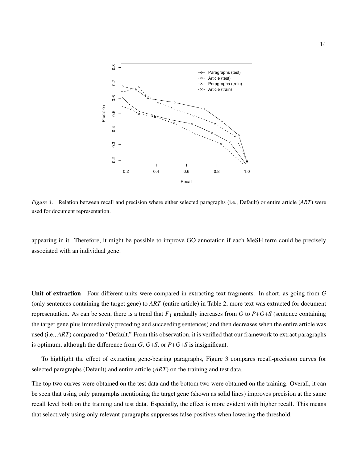

*Figure 3*. Relation between recall and precision where either selected paragraphs (i.e., Default) or entire article (*ART*) were used for document representation.

appearing in it. Therefore, it might be possible to improve GO annotation if each MeSH term could be precisely associated with an individual gene.

Unit of extraction Four different units were compared in extracting text fragments. In short, as going from *G* (only sentences containing the target gene) to *ART* (entire article) in Table 2, more text was extracted for document representation. As can be seen, there is a trend that  $F_1$  gradually increases from *G* to  $P+G+S$  (sentence containing the target gene plus immediately preceding and succeeding sentences) and then decreases when the entire article was used (i.e., *ART*) compared to "Default." From this observation, it is verified that our framework to extract paragraphs is optimum, although the difference from *G*, *G*+*S*, or *P*+*G*+*S* is insignificant.

To highlight the effect of extracting gene-bearing paragraphs, Figure 3 compares recall-precision curves for selected paragraphs (Default) and entire article (*ART*) on the training and test data.

The top two curves were obtained on the test data and the bottom two were obtained on the training. Overall, it can be seen that using only paragraphs mentioning the target gene (shown as solid lines) improves precision at the same recall level both on the training and test data. Especially, the effect is more evident with higher recall. This means that selectively using only relevant paragraphs suppresses false positives when lowering the threshold.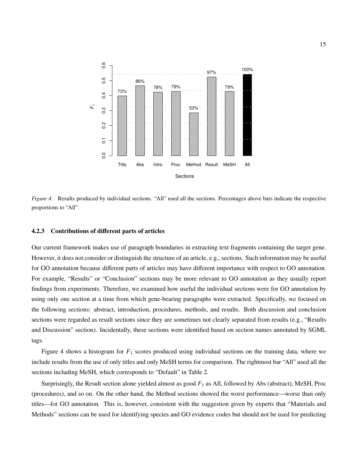

*Figure 4*. Results produced by individual sections. "All" used all the sections. Percentages above bars indicate the respective proportions to "All".

#### 4.2.3 Contributions of different parts of articles

Our current framework makes use of paragraph boundaries in extracting text fragments containing the target gene. However, it does not consider or distinguish the structure of an article, e.g., sections. Such information may be useful for GO annotation because different parts of articles may have different importance with respect to GO annotation. For example, "Results" or "Conclusion" sections may be more relevant to GO annotation as they usually report findings from experiments. Therefore, we examined how useful the individual sections were for GO annotation by using only one section at a time from which gene-bearing paragraphs were extracted. Specifically, we focused on the following sections: abstract, introduction, procedures, methods, and results. Both discussion and conclusion sections were regarded as result sections since they are sometimes not clearly separated from results (e.g., "Results and Discussion" section). Incidentally, these sections were identified based on section names annotated by SGML tags.

Figure 4 shows a histogram for *F*<sup>1</sup> scores produced using individual sections on the training data, where we include results from the use of only titles and only MeSH terms for comparison. The rightmost bar "All" used all the sections including MeSH, which corresponds to "Default" in Table 2.

Surprisingly, the Result section alone yielded almost as good *F*<sup>1</sup> as All, followed by Abs (abstract), MeSH, Proc (procedures), and so on. On the other hand, the Method sections showed the worst performance—worse than only titles—for GO annotation. This is, however, consistent with the suggestion given by experts that "Materials and Methods" sections can be used for identifying species and GO evidence codes but should not be used for predicting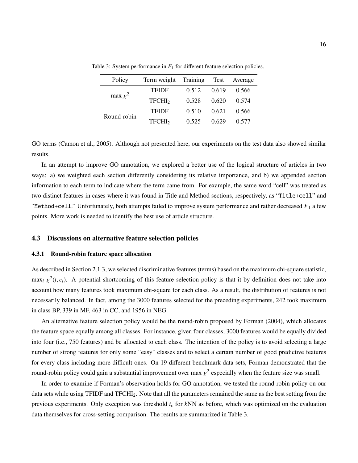| Policy       | Term weight Training Test Average |       |       |       |
|--------------|-----------------------------------|-------|-------|-------|
| max $\chi^2$ | <b>TFIDF</b>                      | 0.512 | 0.619 | 0.566 |
|              | TFCHI <sub>2</sub>                | 0.528 | 0.620 | 0.574 |
| Round-robin  | <b>TFIDF</b>                      | 0.510 | 0.621 | 0.566 |
|              | TFCHI <sub>2</sub>                | 0.525 | 0.629 | 0.577 |

Table 3: System performance in  $F_1$  for different feature selection policies.

GO terms (Camon et al., 2005). Although not presented here, our experiments on the test data also showed similar results.

In an attempt to improve GO annotation, we explored a better use of the logical structure of articles in two ways: a) we weighted each section differently considering its relative importance, and b) we appended section information to each term to indicate where the term came from. For example, the same word "cell" was treated as two distinct features in cases where it was found in Title and Method sections, respectively, as "Title+cell" and "Method+cell." Unfortunately, both attempts failed to improve system performance and rather decreased  $F_1$  a few points. More work is needed to identify the best use of article structure.

### 4.3 Discussions on alternative feature selection policies

### 4.3.1 Round-robin feature space allocation

As described in Section 2.1.3, we selected discriminative features (terms) based on the maximum chi-square statistic,  $\max_i \chi^2(t, c_i)$ . A potential shortcoming of this feature selection policy is that it by definition does not take into account how many features took maximum chi-square for each class. As a result, the distribution of features is not necessarily balanced. In fact, among the 3000 features selected for the preceding experiments, 242 took maximum in class BP, 339 in MF, 463 in CC, and 1956 in NEG.

An alternative feature selection policy would be the round-robin proposed by Forman (2004), which allocates the feature space equally among all classes. For instance, given four classes, 3000 features would be equally divided into four (i.e., 750 features) and be allocated to each class. The intention of the policy is to avoid selecting a large number of strong features for only some "easy" classes and to select a certain number of good predictive features for every class including more difficult ones. On 19 different benchmark data sets, Forman demonstrated that the round-robin policy could gain a substantial improvement over max  $\chi^2$  especially when the feature size was small.

In order to examine if Forman's observation holds for GO annotation, we tested the round-robin policy on our data sets while using TFIDF and TFCHI2. Note that all the parameters remained the same as the best setting from the previous experiments. Only exception was threshold *t<sup>c</sup>* for *k*NN as before, which was optimized on the evaluation data themselves for cross-setting comparison. The results are summarized in Table 3.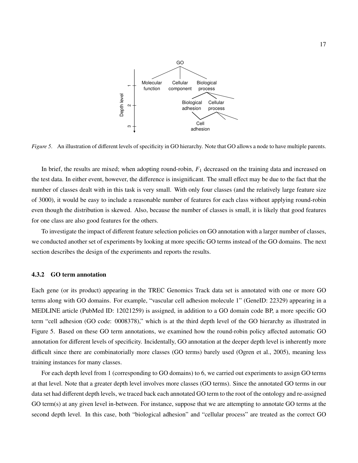

*Figure 5*. An illustration of different levels of specificity in GO hierarchy. Note that GO allows a node to have multiple parents.

In brief, the results are mixed; when adopting round-robin,  $F_1$  decreased on the training data and increased on the test data. In either event, however, the difference is insignificant. The small effect may be due to the fact that the number of classes dealt with in this task is very small. With only four classes (and the relatively large feature size of 3000), it would be easy to include a reasonable number of features for each class without applying round-robin even though the distribution is skewed. Also, because the number of classes is small, it is likely that good features for one class are also good features for the others.

To investigate the impact of different feature selection policies on GO annotation with a larger number of classes, we conducted another set of experiments by looking at more specific GO terms instead of the GO domains. The next section describes the design of the experiments and reports the results.

### 4.3.2 GO term annotation

Each gene (or its product) appearing in the TREC Genomics Track data set is annotated with one or more GO terms along with GO domains. For example, "vascular cell adhesion molecule 1" (GeneID: 22329) appearing in a MEDLINE article (PubMed ID: 12021259) is assigned, in addition to a GO domain code BP, a more specific GO term "cell adhesion (GO code: 0008378)," which is at the third depth level of the GO hierarchy as illustrated in Figure 5. Based on these GO term annotations, we examined how the round-robin policy affected automatic GO annotation for different levels of specificity. Incidentally, GO annotation at the deeper depth level is inherently more difficult since there are combinatorially more classes (GO terms) barely used (Ogren et al., 2005), meaning less training instances for many classes.

For each depth level from 1 (corresponding to GO domains) to 6, we carried out experiments to assign GO terms at that level. Note that a greater depth level involves more classes (GO terms). Since the annotated GO terms in our data set had different depth levels, we traced back each annotated GO term to the root of the ontology and re-assigned GO term(s) at any given level in-between. For instance, suppose that we are attempting to annotate GO terms at the second depth level. In this case, both "biological adhesion" and "cellular process" are treated as the correct GO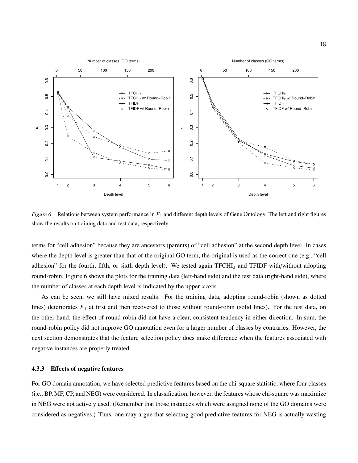

*Figure 6.* Relations between system performance in  $F_1$  and different depth levels of Gene Ontology. The left and right figures show the results on training data and test data, respectively.

terms for "cell adhesion" because they are ancestors (parents) of "cell adhesion" at the second depth level. In cases where the depth level is greater than that of the original GO term, the original is used as the correct one (e.g., "cell adhesion" for the fourth, fifth, or sixth depth level). We tested again TFCHI<sub>2</sub> and TFIDF with/without adopting round-robin. Figure 6 shows the plots for the training data (left-hand side) and the test data (right-hand side), where the number of classes at each depth level is indicated by the upper *x* axis.

As can be seen, we still have mixed results. For the training data, adopting round-robin (shown as dotted lines) deteriorates  $F_1$  at first and then recovered to those without round-robin (solid lines). For the test data, on the other hand, the effect of round-robin did not have a clear, consistent tendency in either direction. In sum, the round-robin policy did not improve GO annotation even for a larger number of classes by contraries. However, the next section demonstrates that the feature selection policy does make difference when the features associated with negative instances are properly treated.

#### 4.3.3 Effects of negative features

For GO domain annotation, we have selected predictive features based on the chi-square statistic, where four classes (i.e., BP, MF, CP, and NEG) were considered. In classification, however, the features whose chi-square was maximize in NEG were not actively used. (Remember that those instances which were assigned none of the GO domains were considered as negatives.) Thus, one may argue that selecting good predictive features for NEG is actually wasting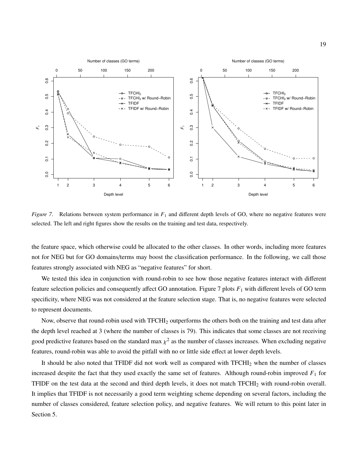

*Figure 7.* Relations between system performance in  $F_1$  and different depth levels of GO, where no negative features were selected. The left and right figures show the results on the training and test data, respectively.

the feature space, which otherwise could be allocated to the other classes. In other words, including more features not for NEG but for GO domains/terms may boost the classification performance. In the following, we call those features strongly associated with NEG as "negative features" for short.

We tested this idea in conjunction with round-robin to see how those negative features interact with different feature selection policies and consequently affect GO annotation. Figure 7 plots *F*<sup>1</sup> with different levels of GO term specificity, where NEG was not considered at the feature selection stage. That is, no negative features were selected to represent documents.

Now, observe that round-robin used with TFCHI<sup>2</sup> outperforms the others both on the training and test data after the depth level reached at 3 (where the number of classes is 79). This indicates that some classes are not receiving good predictive features based on the standard max  $\chi^2$  as the number of classes increases. When excluding negative features, round-robin was able to avoid the pitfall with no or little side effect at lower depth levels.

It should be also noted that TFIDF did not work well as compared with TFCHI<sub>2</sub> when the number of classes increased despite the fact that they used exactly the same set of features. Although round-robin improved  $F_1$  for TFIDF on the test data at the second and third depth levels, it does not match TFCHI<sup>2</sup> with round-robin overall. It implies that TFIDF is not necessarily a good term weighting scheme depending on several factors, including the number of classes considered, feature selection policy, and negative features. We will return to this point later in Section 5.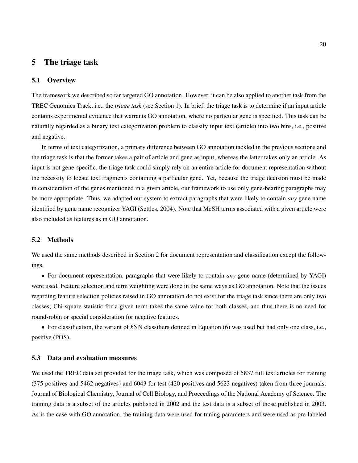## 5 The triage task

### 5.1 Overview

The framework we described so far targeted GO annotation. However, it can be also applied to another task from the TREC Genomics Track, i.e., the *triage task* (see Section 1). In brief, the triage task is to determine if an input article contains experimental evidence that warrants GO annotation, where no particular gene is specified. This task can be naturally regarded as a binary text categorization problem to classify input text (article) into two bins, i.e., positive and negative.

In terms of text categorization, a primary difference between GO annotation tackled in the previous sections and the triage task is that the former takes a pair of article and gene as input, whereas the latter takes only an article. As input is not gene-specific, the triage task could simply rely on an entire article for document representation without the necessity to locate text fragments containing a particular gene. Yet, because the triage decision must be made in consideration of the genes mentioned in a given article, our framework to use only gene-bearing paragraphs may be more appropriate. Thus, we adapted our system to extract paragraphs that were likely to contain *any* gene name identified by gene name recognizer YAGI (Settles, 2004). Note that MeSH terms associated with a given article were also included as features as in GO annotation.

## 5.2 Methods

We used the same methods described in Section 2 for document representation and classification except the followings.

• For document representation, paragraphs that were likely to contain *any* gene name (determined by YAGI) were used. Feature selection and term weighting were done in the same ways as GO annotation. Note that the issues regarding feature selection policies raised in GO annotation do not exist for the triage task since there are only two classes; Chi-square statistic for a given term takes the same value for both classes, and thus there is no need for round-robin or special consideration for negative features.

• For classification, the variant of *k*NN classifiers defined in Equation (6) was used but had only one class, i.e., positive (POS).

### 5.3 Data and evaluation measures

We used the TREC data set provided for the triage task, which was composed of 5837 full text articles for training (375 positives and 5462 negatives) and 6043 for test (420 positives and 5623 negatives) taken from three journals: Journal of Biological Chemistry, Journal of Cell Biology, and Proceedings of the National Academy of Science. The training data is a subset of the articles published in 2002 and the test data is a subset of those published in 2003. As is the case with GO annotation, the training data were used for tuning parameters and were used as pre-labeled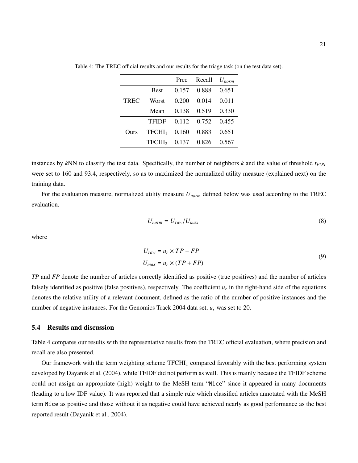|             |                                |       | Prec Recall | $U_{norm}$ |
|-------------|--------------------------------|-------|-------------|------------|
|             | <b>Best</b>                    | 0.157 | 0.888       | 0.651      |
| <b>TREC</b> | Worst                          | 0.200 | 0.014       | 0.011      |
|             | Mean                           | 0.138 | 0.519       | 0.330      |
|             | TFIDF 0.112 0.752              |       |             | 0.455      |
| Ours        | TFCHI <sub>1</sub>             | 0.160 | 0.883       | 0.651      |
|             | TFCHI <sub>2</sub> 0.137 0.826 |       |             | 0.567      |

Table 4: The TREC official results and our results for the triage task (on the test data set).

instances by *k*NN to classify the test data. Specifically, the number of neighbors *k* and the value of threshold *tPOS* were set to 160 and 93.4, respectively, so as to maximized the normalized utility measure (explained next) on the training data.

For the evaluation measure, normalized utility measure *Unorm* defined below was used according to the TREC evaluation.

$$
U_{norm} = U_{raw}/U_{max} \tag{8}
$$

where

$$
U_{raw} = u_r \times TP - FP
$$
  
\n
$$
U_{max} = u_r \times (TP + FP)
$$
\n(9)

*TP* and *FP* denote the number of articles correctly identified as positive (true positives) and the number of articles falsely identified as positive (false positives), respectively. The coefficient  $u_r$  in the right-hand side of the equations denotes the relative utility of a relevant document, defined as the ratio of the number of positive instances and the number of negative instances. For the Genomics Track 2004 data set, *u<sup>r</sup>* was set to 20.

### 5.4 Results and discussion

Table 4 compares our results with the representative results from the TREC official evaluation, where precision and recall are also presented.

Our framework with the term weighting scheme TFCHI<sup>1</sup> compared favorably with the best performing system developed by Dayanik et al. (2004), while TFIDF did not perform as well. This is mainly because the TFIDF scheme could not assign an appropriate (high) weight to the MeSH term "Mice" since it appeared in many documents (leading to a low IDF value). It was reported that a simple rule which classified articles annotated with the MeSH term Mice as positive and those without it as negative could have achieved nearly as good performance as the best reported result (Dayanik et al., 2004).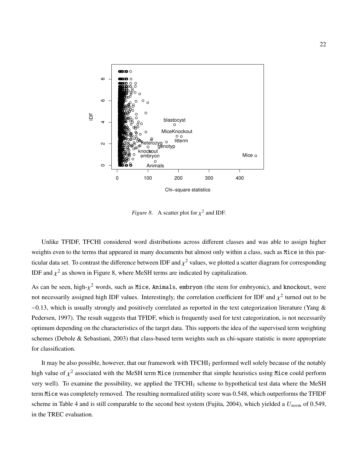

*Figure 8.* A scatter plot for  $\chi^2$  and IDF.

Unlike TFIDF, TFCHI considered word distributions across different classes and was able to assign higher weights even to the terms that appeared in many documents but almost only within a class, such as Mice in this particular data set. To contrast the difference between IDF and  $\chi^2$  values, we plotted a scatter diagram for corresponding IDF and  $\chi^2$  as shown in Figure 8, where MeSH terms are indicated by capitalization.

As can be seen, high- $\chi^2$  words, such as Mice, Animals, embryon (the stem for embryonic), and knockout, were not necessarily assigned high IDF values. Interestingly, the correlation coefficient for IDF and  $\chi^2$  turned out to be −0.13, which is usually strongly and positively correlated as reported in the text categorization literature (Yang & Pedersen, 1997). The result suggests that TFIDF, which is frequently used for text categorization, is not necessarily optimum depending on the characteristics of the target data. This supports the idea of the supervised term weighting schemes (Debole & Sebastiani, 2003) that class-based term weights such as chi-square statistic is more appropriate for classification.

It may be also possible, however, that our framework with TFCHI<sub>1</sub> performed well solely because of the notably high value of  $\chi^2$  associated with the MeSH term Mice (remember that simple heuristics using Mice could perform very well). To examine the possibility, we applied the TFCHI<sup>1</sup> scheme to hypothetical test data where the MeSH term Mice was completely removed. The resulting normalized utility score was 0.548, which outperforms the TFIDF scheme in Table 4 and is still comparable to the second best system (Fujita, 2004), which yielded a *Unorm* of 0.549, in the TREC evaluation.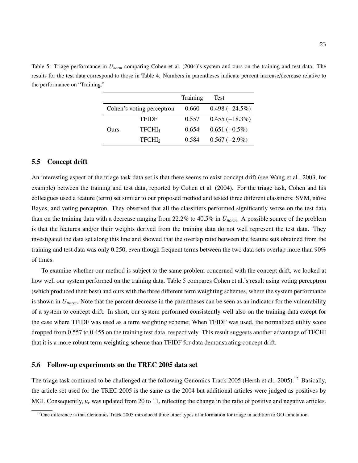Table 5: Triage performance in *Unorm* comparing Cohen et al. (2004)'s system and ours on the training and test data. The results for the test data correspond to those in Table 4. Numbers in parentheses indicate percent increase/decrease relative to the performance on "Training."

|                           |                    | Training | Test             |
|---------------------------|--------------------|----------|------------------|
| Cohen's voting perceptron |                    | 0.660    | $0.498(-24.5%)$  |
|                           | <b>TFIDF</b>       | 0.557    | $0.455(-18.3\%)$ |
| Ours                      | TFCHI <sub>1</sub> | 0.654    | $0.651(-0.5\%)$  |
|                           | TFCHI <sub>2</sub> | 0.584    | $0.567(-2.9\%)$  |

## 5.5 Concept drift

An interesting aspect of the triage task data set is that there seems to exist concept drift (see Wang et al., 2003, for example) between the training and test data, reported by Cohen et al. (2004). For the triage task, Cohen and his colleagues used a feature (term) set similar to our proposed method and tested three different classifiers: SVM, naïve Bayes, and voting perceptron. They observed that all the classifiers performed significantly worse on the test data than on the training data with a decrease ranging from 22.2% to 40.5% in *Unorm*. A possible source of the problem is that the features and/or their weights derived from the training data do not well represent the test data. They investigated the data set along this line and showed that the overlap ratio between the feature sets obtained from the training and test data was only 0.250, even though frequent terms between the two data sets overlap more than 90% of times.

To examine whether our method is subject to the same problem concerned with the concept drift, we looked at how well our system performed on the training data. Table 5 compares Cohen et al.'s result using voting perceptron (which produced their best) and ours with the three different term weighting schemes, where the system performance is shown in *Unorm*. Note that the percent decrease in the parentheses can be seen as an indicator for the vulnerability of a system to concept drift. In short, our system performed consistently well also on the training data except for the case where TFIDF was used as a term weighting scheme; When TFIDF was used, the normalized utility score dropped from 0.557 to 0.455 on the training test data, respectively. This result suggests another advantage of TFCHI that it is a more robust term weighting scheme than TFIDF for data demonstrating concept drift.

### 5.6 Follow-up experiments on the TREC 2005 data set

The triage task continued to be challenged at the following Genomics Track 2005 (Hersh et al., 2005).<sup>12</sup> Basically, the article set used for the TREC 2005 is the same as the 2004 but additional articles were judged as positives by MGI. Consequently,  $u_r$  was updated from 20 to 11, reflecting the change in the ratio of positive and negative articles.

<sup>&</sup>lt;sup>12</sup>One difference is that Genomics Track 2005 introduced three other types of information for triage in addition to GO annotation.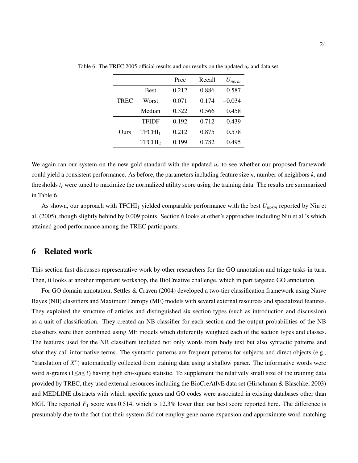|             |                    | Prec  | Recall | $U_{norm}$ |
|-------------|--------------------|-------|--------|------------|
|             | <b>Best</b>        | 0.212 | 0.886  | 0.587      |
| <b>TREC</b> | Worst              | 0.071 | 0.174  | $-0.034$   |
|             | Median             | 0.322 | 0.566  | 0.458      |
|             | TFIDF              | 0.192 | 0.712  | 0.439      |
| Ours        | TFCHI <sub>1</sub> | 0.212 | 0.875  | 0.578      |
|             | TFCHI <sub>2</sub> | 0.199 | 0.782  | 0.495      |

Table 6: The TREC 2005 official results and our results on the updated  $u_r$  and data set.

We again ran our system on the new gold standard with the updated  $u_r$  to see whether our proposed framework could yield a consistent performance. As before, the parameters including feature size *n*, number of neighbors *k*, and thresholds *t<sup>c</sup>* were tuned to maximize the normalized utility score using the training data. The results are summarized in Table 6.

As shown, our approach with TFCHI<sub>1</sub> yielded comparable performance with the best  $U_{norm}$  reported by Niu et al. (2005), though slightly behind by 0.009 points. Section 6 looks at other's approaches including Niu et al.'s which attained good performance among the TREC participants.

## 6 Related work

This section first discusses representative work by other researchers for the GO annotation and triage tasks in turn. Then, it looks at another important workshop, the BioCreative challenge, which in part targeted GO annotation.

For GO domain annotation, Settles & Craven (2004) developed a two-tier classification framework using Naïve Bayes (NB) classifiers and Maximum Entropy (ME) models with several external resources and specialized features. They exploited the structure of articles and distinguished six section types (such as introduction and discussion) as a unit of classification. They created an NB classifier for each section and the output probabilities of the NB classifiers were then combined using ME models which differently weighted each of the section types and classes. The features used for the NB classifiers included not only words from body text but also syntactic patterns and what they call informative terms. The syntactic patterns are frequent patterns for subjects and direct objects (e.g., "translation of *X*") automatically collected from training data using a shallow parser. The informative words were word *n*-grams (1≤*n*≤3) having high chi-square statistic. To supplement the relatively small size of the training data provided by TREC, they used external resources including the BioCreAtIvE data set (Hirschman & Blaschke, 2003) and MEDLINE abstracts with which specific genes and GO codes were associated in existing databases other than MGI. The reported  $F_1$  score was 0.514, which is 12.3% lower than our best score reported here. The difference is presumably due to the fact that their system did not employ gene name expansion and approximate word matching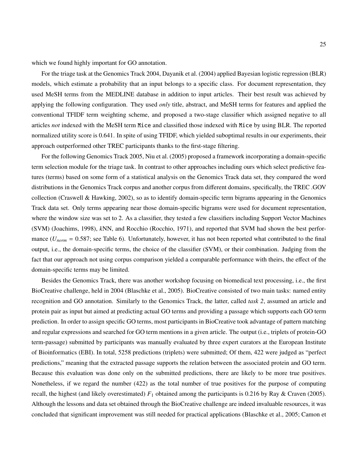which we found highly important for GO annotation.

For the triage task at the Genomics Track 2004, Dayanik et al. (2004) applied Bayesian logistic regression (BLR) models, which estimate a probability that an input belongs to a specific class. For document representation, they used MeSH terms from the MEDLINE database in addition to input articles. Their best result was achieved by applying the following configuration. They used *only* title, abstract, and MeSH terms for features and applied the conventional TFIDF term weighting scheme, and proposed a two-stage classifier which assigned negative to all articles *not* indexed with the MeSH term Mice and classified those indexed with Mice by using BLR. The reported normalized utility score is 0.641. In spite of using TFIDF, which yielded suboptimal results in our experiments, their approach outperformed other TREC participants thanks to the first-stage filtering.

For the following Genomics Track 2005, Niu et al. (2005) proposed a framework incorporating a domain-specific term selection module for the triage task. In contrast to other approaches including ours which select predictive features (terms) based on some form of a statistical analysis on the Genomics Track data set, they compared the word distributions in the Genomics Track corpus and another corpus from different domains, specifically, the TREC .GOV collection (Craswell & Hawking, 2002), so as to identify domain-specific term bigrams appearing in the Genomics Track data set. Only terms appearing near those domain-specific bigrams were used for document representation, where the window size was set to 2. As a classifier, they tested a few classifiers including Support Vector Machines (SVM) (Joachims, 1998), *k*NN, and Rocchio (Rocchio, 1971), and reported that SVM had shown the best performance ( $U_{norm}$  = 0.587; see Table 6). Unfortunately, however, it has not been reported what contributed to the final output, i.e., the domain-specific terms, the choice of the classifier (SVM), or their combination. Judging from the fact that our approach not using corpus comparison yielded a comparable performance with theirs, the effect of the domain-specific terms may be limited.

Besides the Genomics Track, there was another workshop focusing on biomedical text processing, i.e., the first BioCreative challenge, held in 2004 (Blaschke et al., 2005). BioCreative consisted of two main tasks: named entity recognition and GO annotation. Similarly to the Genomics Track, the latter, called *task 2*, assumed an article and protein pair as input but aimed at predicting actual GO terms and providing a passage which supports each GO term prediction. In order to assign specific GO terms, most participants in BioCreative took advantage of pattern matching and regular expressions and searched for GO term mentions in a given article. The output (i.e., triplets of protein-GO term-passage) submitted by participants was manually evaluated by three expert curators at the European Institute of Bioinformatics (EBI). In total, 5258 predictions (triplets) were submitted; Of them, 422 were judged as "perfect predictions," meaning that the extracted passage supports the relation between the associated protein and GO term. Because this evaluation was done only on the submitted predictions, there are likely to be more true positives. Nonetheless, if we regard the number (422) as the total number of true positives for the purpose of computing recall, the highest (and likely overestimated)  $F_1$  obtained among the participants is 0.216 by Ray & Craven (2005). Although the lessons and data set obtained through the BioCreative challenge are indeed invaluable resources, it was concluded that significant improvement was still needed for practical applications (Blaschke et al., 2005; Camon et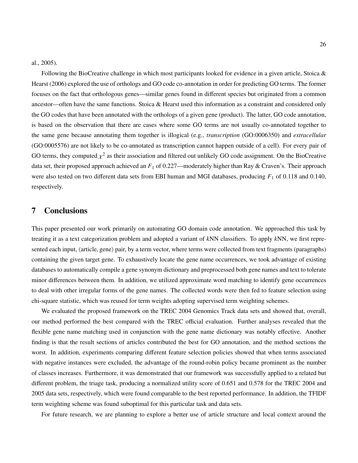#### al., 2005).

Following the BioCreative challenge in which most participants looked for evidence in a given article, Stoica  $\&$ Hearst (2006) explored the use of orthologs and GO code co-annotation in order for predicting GO terms. The former focuses on the fact that orthologous genes—similar genes found in different species but originated from a common ancestor—often have the same functions. Stoica & Hearst used this information as a constraint and considered only the GO codes that have been annotated with the orthologs of a given gene (product). The latter, GO code annotation, is based on the observation that there are cases where some GO terms are not usually co-annotated together to the same gene because annotating them together is illogical (e.g., *transcription* (GO:0006350) and *extracellular* (GO:0005576) are not likely to be co-annotated as transcription cannot happen outside of a cell). For every pair of GO terms, they computed  $\chi^2$  as their association and filtered out unlikely GO code assignment. On the BioCreative data set, their proposed approach achieved an *F*<sup>1</sup> of 0.227—moderately higher than Ray & Craven's. Their approach were also tested on two different data sets from EBI human and MGI databases, producing  $F_1$  of 0.118 and 0.140, respectively.

## 7 Conclusions

This paper presented our work primarily on automating GO domain code annotation. We approached this task by treating it as a text categorization problem and adopted a variant of *k*NN classifiers. To apply *k*NN, we first represented each input,  $\langle$  article, gene $\rangle$  pair, by a term vector, where terms were collected from text fragments (paragraphs) containing the given target gene. To exhaustively locate the gene name occurrences, we took advantage of existing databases to automatically compile a gene synonym dictionary and preprocessed both gene names and text to tolerate minor differences between them. In addition, we utilized approximate word matching to identify gene occurrences to deal with other irregular forms of the gene names. The collected words were then fed to feature selection using chi-square statistic, which was reused for term weights adopting supervised term weighting schemes.

We evaluated the proposed framework on the TREC 2004 Genomics Track data sets and showed that, overall, our method performed the best compared with the TREC official evaluation. Further analyses revealed that the flexible gene name matching used in conjunction with the gene name dictionary was notably effective. Another finding is that the result sections of articles contributed the best for GO annotation, and the method sections the worst. In addition, experiments comparing different feature selection policies showed that when terms associated with negative instances were excluded, the advantage of the round-robin policy became prominent as the number of classes increases. Furthermore, it was demonstrated that our framework was successfully applied to a related but different problem, the triage task, producing a normalized utility score of 0.651 and 0.578 for the TREC 2004 and 2005 data sets, respectively, which were found comparable to the best reported performance. In addition, the TFIDF term weighting scheme was found suboptimal for this particular task and data sets.

For future research, we are planning to explore a better use of article structure and local context around the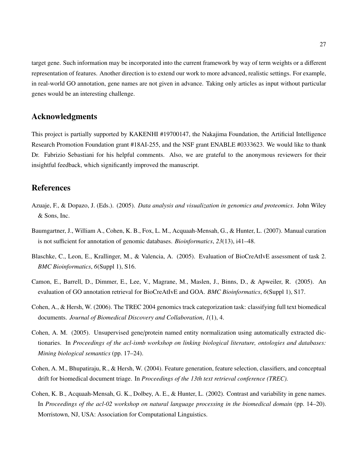target gene. Such information may be incorporated into the current framework by way of term weights or a different representation of features. Another direction is to extend our work to more advanced, realistic settings. For example, in real-world GO annotation, gene names are not given in advance. Taking only articles as input without particular genes would be an interesting challenge.

## Acknowledgments

This project is partially supported by KAKENHI #19700147, the Nakajima Foundation, the Artificial Intelligence Research Promotion Foundation grant #18AI-255, and the NSF grant ENABLE #0333623. We would like to thank Dr. Fabrizio Sebastiani for his helpful comments. Also, we are grateful to the anonymous reviewers for their insightful feedback, which significantly improved the manuscript.

## References

- Azuaje, F., & Dopazo, J. (Eds.). (2005). *Data analysis and visualization in genomics and proteomics*. John Wiley & Sons, Inc.
- Baumgartner, J., William A., Cohen, K. B., Fox, L. M., Acquaah-Mensah, G., & Hunter, L. (2007). Manual curation is not sufficient for annotation of genomic databases. *Bioinformatics*, *23*(13), i41–48.
- Blaschke, C., Leon, E., Krallinger, M., & Valencia, A. (2005). Evaluation of BioCreAtIvE assessment of task 2. *BMC Bioinformatics*, *6*(Suppl 1), S16.
- Camon, E., Barrell, D., Dimmer, E., Lee, V., Magrane, M., Maslen, J., Binns, D., & Apweiler, R. (2005). An evaluation of GO annotation retrieval for BioCreAtIvE and GOA. *BMC Bioinformatics*, *6*(Suppl 1), S17.
- Cohen, A., & Hersh, W. (2006). The TREC 2004 genomics track categorization task: classifying full text biomedical documents. *Journal of Biomedical Discovery and Collaboration*, *1*(1), 4.
- Cohen, A. M. (2005). Unsupervised gene/protein named entity normalization using automatically extracted dictionaries. In *Proceedings of the acl-ismb workshop on linking biological literature, ontologies and databases: Mining biological semantics* (pp. 17–24).
- Cohen, A. M., Bhupatiraju, R., & Hersh, W. (2004). Feature generation, feature selection, classifiers, and conceptual drift for biomedical document triage. In *Proceedings of the 13th text retrieval conference (TREC).*
- Cohen, K. B., Acquaah-Mensah, G. K., Dolbey, A. E., & Hunter, L. (2002). Contrast and variability in gene names. In *Proceedings of the acl-02 workshop on natural language processing in the biomedical domain* (pp. 14–20). Morristown, NJ, USA: Association for Computational Linguistics.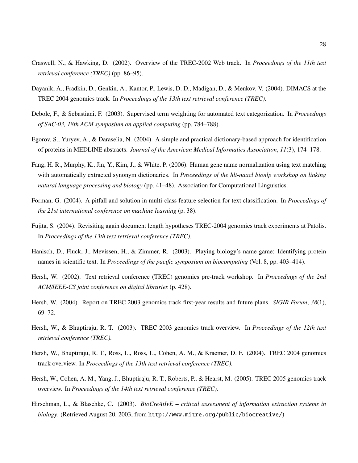- Craswell, N., & Hawking, D. (2002). Overview of the TREC-2002 Web track. In *Proceedings of the 11th text retrieval conference (TREC)* (pp. 86–95).
- Dayanik, A., Fradkin, D., Genkin, A., Kantor, P., Lewis, D. D., Madigan, D., & Menkov, V. (2004). DIMACS at the TREC 2004 genomics track. In *Proceedings of the 13th text retrieval conference (TREC).*
- Debole, F., & Sebastiani, F. (2003). Supervised term weighting for automated text categorization. In *Proceedings of SAC-03, 18th ACM symposium on applied computing* (pp. 784–788).
- Egorov, S., Yuryev, A., & Daraselia, N. (2004). A simple and practical dictionary-based approach for identification of proteins in MEDLINE abstracts. *Journal of the American Medical Informatics Association*, *11*(3), 174–178.
- Fang, H. R., Murphy, K., Jin, Y., Kim, J., & White, P. (2006). Human gene name normalization using text matching with automatically extracted synonym dictionaries. In *Proceedings of the hlt-naacl bionlp workshop on linking natural language processing and biology* (pp. 41–48). Association for Computational Linguistics.
- Forman, G. (2004). A pitfall and solution in multi-class feature selection for text classification. In *Proceedings of the 21st international conference on machine learning* (p. 38).
- Fujita, S. (2004). Revisiting again document length hypotheses TREC-2004 genomics track experiments at Patolis. In *Proceedings of the 13th text retrieval conference (TREC).*
- Hanisch, D., Fluck, J., Mevissen, H., & Zimmer, R. (2003). Playing biology's name game: Identifying protein names in scientific text. In *Proceedings of the pacific symposium on biocomputing* (Vol. 8, pp. 403–414).
- Hersh, W. (2002). Text retrieval conference (TREC) genomics pre-track workshop. In *Proceedings of the 2nd ACM*/*IEEE-CS joint conference on digital libraries* (p. 428).
- Hersh, W. (2004). Report on TREC 2003 genomics track first-year results and future plans. *SIGIR Forum*, *38*(1), 69–72.
- Hersh, W., & Bhuptiraju, R. T. (2003). TREC 2003 genomics track overview. In *Proceedings of the 12th text retrieval conference (TREC).*
- Hersh, W., Bhuptiraju, R. T., Ross, L., Ross, L., Cohen, A. M., & Kraemer, D. F. (2004). TREC 2004 genomics track overview. In *Proceedings of the 13th text retrieval conference (TREC).*
- Hersh, W., Cohen, A. M., Yang, J., Bhuptiraju, R. T., Roberts, P., & Hearst, M. (2005). TREC 2005 genomics track overview. In *Proceedings of the 14th text retrieval conference (TREC).*
- Hirschman, L., & Blaschke, C. (2003). *BioCreAtIvE critical assessment of information extraction systems in biology.* (Retrieved August 20, 2003, from http://www.mitre.org/public/biocreative/)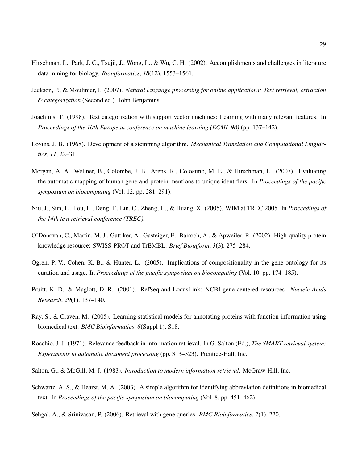- Hirschman, L., Park, J. C., Tsujii, J., Wong, L., & Wu, C. H. (2002). Accomplishments and challenges in literature data mining for biology. *Bioinformatics*, *18*(12), 1553–1561.
- Jackson, P., & Moulinier, I. (2007). *Natural language processing for online applications: Text retrieval, extraction* & *categorization* (Second ed.). John Benjamins.
- Joachims, T. (1998). Text categorization with support vector machines: Learning with many relevant features. In *Proceedings of the 10th European conference on machine learning (ECML 98)* (pp. 137–142).
- Lovins, J. B. (1968). Development of a stemming algorithm. *Mechanical Translation and Computational Linguistics*, *11*, 22–31.
- Morgan, A. A., Wellner, B., Colombe, J. B., Arens, R., Colosimo, M. E., & Hirschman, L. (2007). Evaluating the automatic mapping of human gene and protein mentions to unique identifiers. In *Proceedings of the pacific symposium on biocomputing* (Vol. 12, pp. 281–291).
- Niu, J., Sun, L., Lou, L., Deng, F., Lin, C., Zheng, H., & Huang, X. (2005). WIM at TREC 2005. In *Proceedings of the 14th text retrieval conference (TREC).*
- O'Donovan, C., Martin, M. J., Gattiker, A., Gasteiger, E., Bairoch, A., & Apweiler, R. (2002). High-quality protein knowledge resource: SWISS-PROT and TrEMBL. *Brief Bioinform*, *3*(3), 275–284.
- Ogren, P. V., Cohen, K. B., & Hunter, L. (2005). Implications of compositionality in the gene ontology for its curation and usage. In *Proceedings of the pacific symposium on biocomputing* (Vol. 10, pp. 174–185).
- Pruitt, K. D., & Maglott, D. R. (2001). RefSeq and LocusLink: NCBI gene-centered resources. *Nucleic Acids Research*, *29*(1), 137–140.
- Ray, S., & Craven, M. (2005). Learning statistical models for annotating proteins with function information using biomedical text. *BMC Bioinformatics*, *6*(Suppl 1), S18.
- Rocchio, J. J. (1971). Relevance feedback in information retrieval. In G. Salton (Ed.), *The SMART retrieval system: Experiments in automatic document processing* (pp. 313–323). Prentice-Hall, Inc.
- Salton, G., & McGill, M. J. (1983). *Introduction to modern information retrieval*. McGraw-Hill, Inc.
- Schwartz, A. S., & Hearst, M. A. (2003). A simple algorithm for identifying abbreviation definitions in biomedical text. In *Proceedings of the pacific symposium on biocomputing* (Vol. 8, pp. 451–462).
- Sehgal, A., & Srinivasan, P. (2006). Retrieval with gene queries. *BMC Bioinformatics*, *7*(1), 220.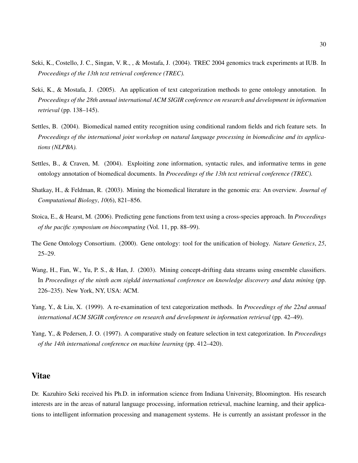- Seki, K., Costello, J. C., Singan, V. R., , & Mostafa, J. (2004). TREC 2004 genomics track experiments at IUB. In *Proceedings of the 13th text retrieval conference (TREC).*
- Seki, K., & Mostafa, J. (2005). An application of text categorization methods to gene ontology annotation. In *Proceedings of the 28th annual international ACM SIGIR conference on research and development in information retrieval* (pp. 138–145).
- Settles, B. (2004). Biomedical named entity recognition using conditional random fields and rich feature sets. In *Proceedings of the international joint workshop on natural language processing in biomedicine and its applications (NLPBA).*
- Settles, B., & Craven, M. (2004). Exploiting zone information, syntactic rules, and informative terms in gene ontology annotation of biomedical documents. In *Proceedings of the 13th text retrieval conference (TREC).*
- Shatkay, H., & Feldman, R. (2003). Mining the biomedical literature in the genomic era: An overview. *Journal of Computational Biology*, *10*(6), 821–856.
- Stoica, E., & Hearst, M. (2006). Predicting gene functions from text using a cross-species approach. In *Proceedings of the pacific symposium on biocomputing* (Vol. 11, pp. 88–99).
- The Gene Ontology Consortium. (2000). Gene ontology: tool for the unification of biology. *Nature Genetics*, *25*, 25–29.
- Wang, H., Fan, W., Yu, P. S., & Han, J. (2003). Mining concept-drifting data streams using ensemble classifiers. In *Proceedings of the ninth acm sigkdd international conference on knowledge discovery and data mining* (pp. 226–235). New York, NY, USA: ACM.
- Yang, Y., & Liu, X. (1999). A re-examination of text categorization methods. In *Proceedings of the 22nd annual international ACM SIGIR conference on research and development in information retrieval* (pp. 42–49).
- Yang, Y., & Pedersen, J. O. (1997). A comparative study on feature selection in text categorization. In *Proceedings of the 14th international conference on machine learning* (pp. 412–420).

## Vitae

Dr. Kazuhiro Seki received his Ph.D. in information science from Indiana University, Bloomington. His research interests are in the areas of natural language processing, information retrieval, machine learning, and their applications to intelligent information processing and management systems. He is currently an assistant professor in the